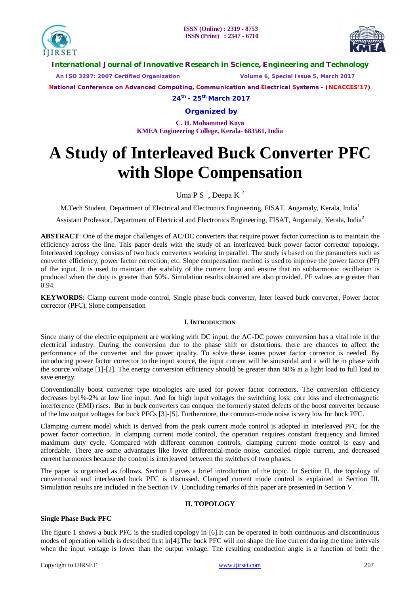



**International Journal of Innovative Research in Science, Engineering and Technology**

 *An ISO 3297: 2007 Certified Organization Volume 6, Special Issue 5, March 2017*

**National Conference on Advanced Computing, Communication and Electrical Systems - (NCACCES'17)**

**24th - 25th March 2017**

**Organized by**

**C. H. Mohammed Koya KMEA Engineering College, Kerala- 683561, India** 

# **A Study of Interleaved Buck Converter PFC with Slope Compensation**

Uma P S<sup>1</sup>, Deepa K<sup>2</sup>

M.Tech Student, Department of Electrical and Electronics Engineering, FISAT, Angamaly, Kerala, India<sup>1</sup>

Assistant Professor, Department of Electrical and Electronics Engineering, FISAT, Angamaly, Kerala, India<sup>2</sup>

**ABSTRACT**: One of the major challenges of AC/DC converters that require power factor correction is to maintain the efficiency across the line. This paper deals with the study of an interleaved buck power factor corrector topology. Interleaved topology consists of two buck converters working in parallel. The study is based on the parameters such as converter efficiency, power factor correction, etc. Slope compensation method is used to improve the power factor (PF) of the input. It is used to maintain the stability of the current loop and ensure that no subharmonic oscillation is produced when the duty is greater than 50%. Simulation results obtained are also provided. PF values are greater than 0.94.

**KEYWORDS:** Clamp current mode control, Single phase buck converter, Inter leaved buck converter, Power factor corrector (PFC), Slope compensation

# **I. INTRODUCTION**

Since many of the electric equipment are working with DC input, the AC-DC power conversion has a vital role in the electrical industry. During the conversion due to the phase shift or distortions, there are chances to affect the performance of the converter and the power quality. To solve these issues power factor corrector is needed. By introducing power factor corrector to the input source, the input current will be sinusoidal and it will be in phase with the source voltage [1]-[2]. The energy conversion efficiency should be greater than 80% at a light load to full load to save energy.

Conventionally boost converter type topologies are used for power factor correctors. The conversion efficiency decreases by1%-2% at low line input. And for high input voltages the switching loss, core loss and electromagnetic interference (EMI) rises. But in buck converters can conquer the formerly stated defects of the boost converter because of the low output voltages for buck PFCs [3]-[5]. Furthermore, the common-mode noise is very low for buck PFC.

Clamping current model which is derived from the peak current mode control is adopted in interleaved PFC for the power factor correction. In clamping current mode control, the operation requires constant frequency and limited maximum duty cycle. Compared with different common controls, clamping current mode control is easy and affordable. There are some advantages like lower differential-mode noise, cancelled ripple current, and decreased current harmonics because the control is interleaved between the switches of two phases.

The paper is organised as follows. Section I gives a brief introduction of the topic. In Section II, the topology of conventional and interleaved buck PFC is discussed. Clamped current mode control is explained in Section III. Simulation results are included in the Section IV. Concluding remarks of this paper are presented in Section V.

# **II. TOPOLOGY**

# **Single Phase Buck PFC**

The figure 1 shows a buck PFC is the studied topology in [6].It can be operated in both continuous and discontinuous modes of operation which is described first in[4].The buck PFC will not shape the line current during the time intervals when the input voltage is lower than the output voltage. The resulting conduction angle is a function of both the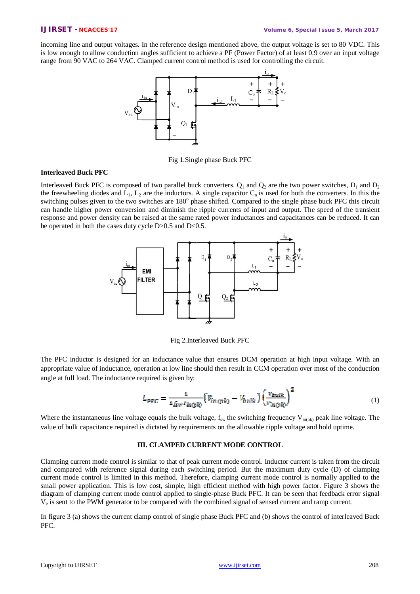incoming line and output voltages. In the reference design mentioned above, the output voltage is set to 80 VDC. This is low enough to allow conduction angles sufficient to achieve a PF (Power Factor) of at least 0.9 over an input voltage range from 90 VAC to 264 VAC. Clamped current control method is used for controlling the circuit.



Fig 1.Single phase Buck PFC

# **Interleaved Buck PFC**

Interleaved Buck PFC is composed of two parallel buck converters.  $Q_1$  and  $Q_2$  are the two power switches,  $D_1$  and  $D_2$ the freewheeling diodes and  $L_1$ ,  $L_2$  are the inductors. A single capacitor  $C_0$  is used for both the converters. In this the switching pulses given to the two switches are 180° phase shifted. Compared to the single phase buck PFC this circuit can handle higher power conversion and diminish the ripple currents of input and output. The speed of the transient response and power density can be raised at the same rated power inductances and capacitances can be reduced. It can be operated in both the cases duty cycle  $D > 0.5$  and  $D < 0.5$ .



Fig 2.Interleaved Buck PFC

The PFC inductor is designed for an inductance value that ensures DCM operation at high input voltage. With an appropriate value of inductance, operation at low line should then result in CCM operation over most of the conduction angle at full load. The inductance required is given by:

$$
L_{PEC} = \frac{1}{2 f_{SVE} I_{\text{inf}(pk)}} \left( V_{\text{int}(pk)} - V_{\text{in}(lk)} \right) \left( \frac{v_{\text{out}(k)}}{v_{\text{int}(pk)}} \right)^2 \tag{1}
$$

Where the instantaneous line voltage equals the bulk voltage,  $f_{sw}$  the switching frequency  $V_{in(pk)}$  peak line voltage. The value of bulk capacitance required is dictated by requirements on the allowable ripple voltage and hold uptime.

# **III. CLAMPED CURRENT MODE CONTROL**

Clamping current mode control is similar to that of peak current mode control. Inductor current is taken from the circuit and compared with reference signal during each switching period. But the maximum duty cycle (D) of clamping current mode control is limited in this method. Therefore, clamping current mode control is normally applied to the small power application. This is low cost, simple, high efficient method with high power factor. Figure 3 shows the diagram of clamping current mode control applied to single-phase Buck PFC. It can be seen that feedback error signal V<sub>e</sub> is sent to the PWM generator to be compared with the combined signal of sensed current and ramp current.

In figure 3 (a) shows the current clamp control of single phase Buck PFC and (b) shows the control of interleaved Buck PFC.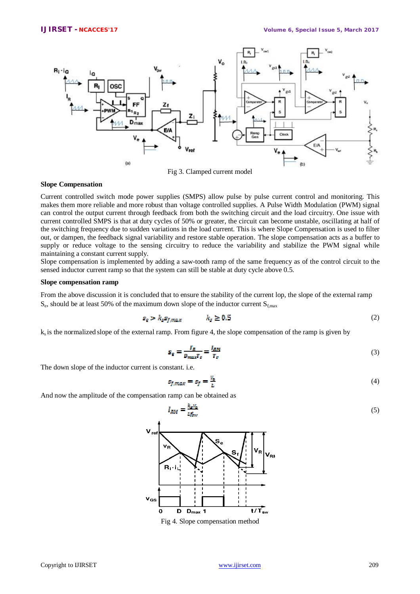

#### **Slope Compensation**

Current controlled switch mode power supplies (SMPS) allow pulse by pulse current control and monitoring. This makes them more reliable and more robust than voltage controlled supplies. A Pulse Width Modulation (PWM) signal can control the output current through feedback from both the switching circuit and the load circuitry. One issue with current controlled SMPS is that at duty cycles of 50% or greater, the circuit can become unstable, oscillating at half of the switching frequency due to sudden variations in the load current. This is where Slope Compensation is used to filter out, or dampen, the feedback signal variability and restore stable operation. The slope compensation acts as a buffer to supply or reduce voltage to the sensing circuitry to reduce the variability and stabilize the PWM signal while maintaining a constant current supply.

Slope compensation is implemented by adding a saw-tooth ramp of the same frequency as of the control circuit to the sensed inductor current ramp so that the system can still be stable at duty cycle above 0.5.

### **Slope compensation ramp**

From the above discussion it is concluded that to ensure the stability of the current lop, the slope of the external ramp  $S_e$ , should be at least 50% of the maximum down slope of the inductor current  $S_{f, max}$ 

$$
s_{\varepsilon} > k_{\varepsilon} s_{f,max} \qquad k_{\varepsilon} \ge 0.5 \tag{2}
$$

 $k_s$  is the normalized slope of the external ramp. From figure 4, the slope compensation of the ramp is given by

$$
\mathbf{s}_e = \frac{I_R}{B_{max}T_s} = \frac{I_{RM}}{T_s} \tag{3}
$$

The down slope of the inductor current is constant. i.e.

$$
s_{f, max} = s_f = \frac{V_o}{L} \tag{4}
$$

And now the amplitude of the compensation ramp can be obtained as

$$
I_{RM} = \frac{k_S V_0}{L f_{SW}}\tag{5}
$$



Fig 4. Slope compensation method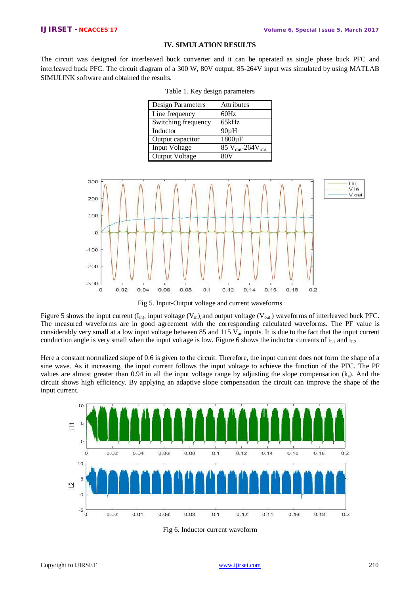# **IV. SIMULATION RESULTS**

The circuit was designed for interleaved buck converter and it can be operated as single phase buck PFC and interleaved buck PFC. The circuit diagram of a 300 W, 80V output, 85-264V input was simulated by using MATLAB SIMULINK software and obtained the results.

| Design Parameters     | Attributes                  |
|-----------------------|-----------------------------|
| Line frequency        | 60Hz                        |
| Switching frequency   | 65kHz                       |
| Inductor              | $90\mu H$                   |
| Output capacitor      | $1800\mu F$                 |
| <b>Input Voltage</b>  | $85 V_{rms}$ -264 $V_{rms}$ |
| <b>Output Voltage</b> | <b>80V</b>                  |

|  |  |  | Table 1. Key design parameters |
|--|--|--|--------------------------------|
|--|--|--|--------------------------------|





Figure 5 shows the input current  $(I_{in})$ , input voltage  $(V_{in})$ , and output voltage  $(V_{out})$  waveforms of interleaved buck PFC. The measured waveforms are in good agreement with the corresponding calculated waveforms. The PF value is considerably very small at a low input voltage between 85 and 115  $V_{ac}$  inputs. It is due to the fact that the input current conduction angle is very small when the input voltage is low. Figure 6 shows the inductor currents of  $i<sub>L1</sub>$  and  $i<sub>L2</sub>$ .

Here a constant normalized slope of 0.6 is given to the circuit. Therefore, the input current does not form the shape of a sine wave. As it increasing, the input current follows the input voltage to achieve the function of the PFC. The PF values are almost greater than 0.94 in all the input voltage range by adjusting the slope compensation  $(k_s)$ . And the circuit shows high efficiency. By applying an adaptive slope compensation the circuit can improve the shape of the input current.



Fig 6. Inductor current waveform